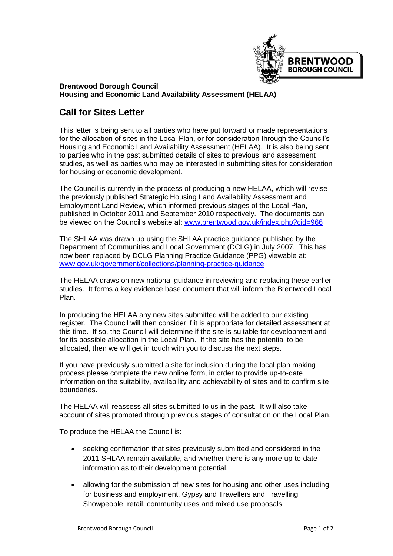

## **Brentwood Borough Council Housing and Economic Land Availability Assessment (HELAA)**

## **Call for Sites Letter**

This letter is being sent to all parties who have put forward or made representations for the allocation of sites in the Local Plan, or for consideration through the Council's Housing and Economic Land Availability Assessment (HELAA). It is also being sent to parties who in the past submitted details of sites to previous land assessment studies, as well as parties who may be interested in submitting sites for consideration for housing or economic development.

The Council is currently in the process of producing a new HELAA, which will revise the previously published Strategic Housing Land Availability Assessment and Employment Land Review, which informed previous stages of the Local Plan, published in October 2011 and September 2010 respectively. The documents can be viewed on the Council's website at: [www.brentwood.gov.uk/index.php?cid=966](http://www.brentwood.gov.uk/index.php?cid=966)

The SHLAA was drawn up using the SHLAA practice guidance published by the Department of Communities and Local Government (DCLG) in July 2007. This has now been replaced by DCLG Planning Practice Guidance (PPG) viewable at: [www.gov.uk/government/collections/planning-practice-guidance](https://www.gov.uk/government/collections/planning-practice-guidance)

The HELAA draws on new national guidance in reviewing and replacing these earlier studies. It forms a key evidence base document that will inform the Brentwood Local Plan.

In producing the HELAA any new sites submitted will be added to our existing register. The Council will then consider if it is appropriate for detailed assessment at this time. If so, the Council will determine if the site is suitable for development and for its possible allocation in the Local Plan. If the site has the potential to be allocated, then we will get in touch with you to discuss the next steps.

If you have previously submitted a site for inclusion during the local plan making process please complete the new online form, in order to provide up-to-date information on the suitability, availability and achievability of sites and to confirm site boundaries.

The HELAA will reassess all sites submitted to us in the past. It will also take account of sites promoted through previous stages of consultation on the Local Plan.

To produce the HELAA the Council is:

- seeking confirmation that sites previously submitted and considered in the 2011 SHLAA remain available, and whether there is any more up-to-date information as to their development potential.
- allowing for the submission of new sites for housing and other uses including for business and employment, Gypsy and Travellers and Travelling Showpeople, retail, community uses and mixed use proposals.